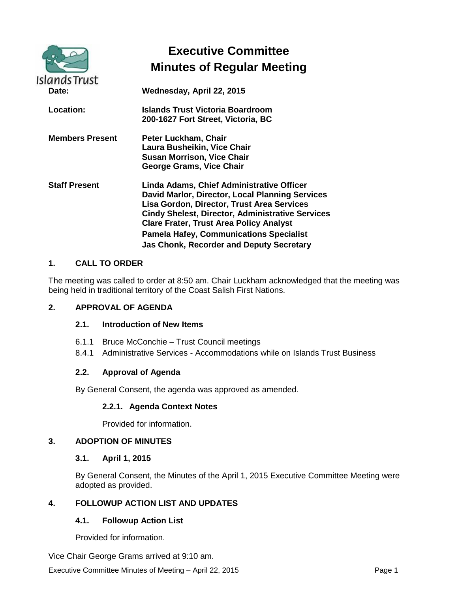| <b>Islands Trust</b>   | <b>Executive Committee</b><br><b>Minutes of Regular Meeting</b>                                                                                                                                                                                                                                                                                              |
|------------------------|--------------------------------------------------------------------------------------------------------------------------------------------------------------------------------------------------------------------------------------------------------------------------------------------------------------------------------------------------------------|
| Date:                  | Wednesday, April 22, 2015                                                                                                                                                                                                                                                                                                                                    |
| Location:              | Islands Trust Victoria Boardroom<br>200-1627 Fort Street, Victoria, BC                                                                                                                                                                                                                                                                                       |
| <b>Members Present</b> | Peter Luckham, Chair<br>Laura Busheikin, Vice Chair<br><b>Susan Morrison, Vice Chair</b><br>George Grams, Vice Chair                                                                                                                                                                                                                                         |
| <b>Staff Present</b>   | Linda Adams, Chief Administrative Officer<br>David Marlor, Director, Local Planning Services<br>Lisa Gordon, Director, Trust Area Services<br><b>Cindy Shelest, Director, Administrative Services</b><br><b>Clare Frater, Trust Area Policy Analyst</b><br><b>Pamela Hafey, Communications Specialist</b><br><b>Jas Chonk, Recorder and Deputy Secretary</b> |

## **1. CALL TO ORDER**

The meeting was called to order at 8:50 am. Chair Luckham acknowledged that the meeting was being held in traditional territory of the Coast Salish First Nations.

#### **2. APPROVAL OF AGENDA**

#### **2.1. Introduction of New Items**

- 6.1.1 Bruce McConchie Trust Council meetings
- 8.4.1 Administrative Services Accommodations while on Islands Trust Business

#### **2.2. Approval of Agenda**

By General Consent, the agenda was approved as amended.

#### **2.2.1. Agenda Context Notes**

Provided for information.

### **3. ADOPTION OF MINUTES**

#### **3.1. April 1, 2015**

By General Consent, the Minutes of the April 1, 2015 Executive Committee Meeting were adopted as provided.

### **4. FOLLOWUP ACTION LIST AND UPDATES**

#### **4.1. Followup Action List**

Provided for information.

Vice Chair George Grams arrived at 9:10 am.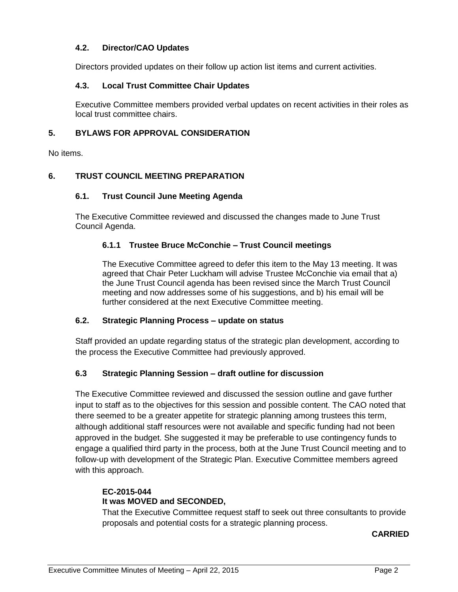## **4.2. Director/CAO Updates**

Directors provided updates on their follow up action list items and current activities.

#### **4.3. Local Trust Committee Chair Updates**

Executive Committee members provided verbal updates on recent activities in their roles as local trust committee chairs.

### **5. BYLAWS FOR APPROVAL CONSIDERATION**

No items.

### **6. TRUST COUNCIL MEETING PREPARATION**

#### **6.1. Trust Council June Meeting Agenda**

The Executive Committee reviewed and discussed the changes made to June Trust Council Agenda.

### **6.1.1 Trustee Bruce McConchie – Trust Council meetings**

The Executive Committee agreed to defer this item to the May 13 meeting. It was agreed that Chair Peter Luckham will advise Trustee McConchie via email that a) the June Trust Council agenda has been revised since the March Trust Council meeting and now addresses some of his suggestions, and b) his email will be further considered at the next Executive Committee meeting.

### **6.2. Strategic Planning Process – update on status**

Staff provided an update regarding status of the strategic plan development, according to the process the Executive Committee had previously approved.

#### **6.3 Strategic Planning Session – draft outline for discussion**

The Executive Committee reviewed and discussed the session outline and gave further input to staff as to the objectives for this session and possible content. The CAO noted that there seemed to be a greater appetite for strategic planning among trustees this term, although additional staff resources were not available and specific funding had not been approved in the budget. She suggested it may be preferable to use contingency funds to engage a qualified third party in the process, both at the June Trust Council meeting and to follow-up with development of the Strategic Plan. Executive Committee members agreed with this approach.

#### **EC-2015-044 It was MOVED and SECONDED,**

That the Executive Committee request staff to seek out three consultants to provide proposals and potential costs for a strategic planning process.

**CARRIED**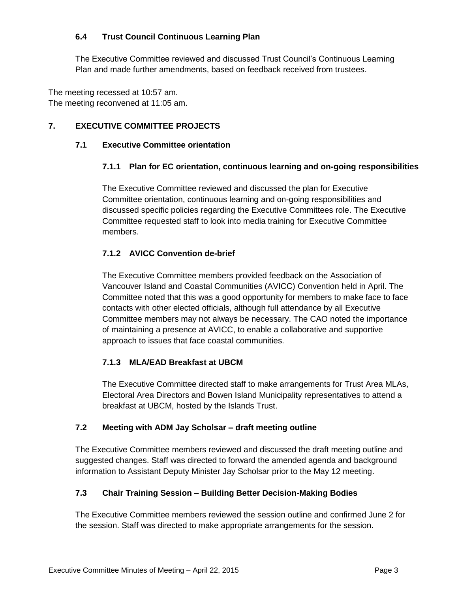## **6.4 Trust Council Continuous Learning Plan**

The Executive Committee reviewed and discussed Trust Council's Continuous Learning Plan and made further amendments, based on feedback received from trustees.

The meeting recessed at 10:57 am. The meeting reconvened at 11:05 am.

# **7. EXECUTIVE COMMITTEE PROJECTS**

# **7.1 Executive Committee orientation**

# **7.1.1 Plan for EC orientation, continuous learning and on-going responsibilities**

The Executive Committee reviewed and discussed the plan for Executive Committee orientation, continuous learning and on-going responsibilities and discussed specific policies regarding the Executive Committees role. The Executive Committee requested staff to look into media training for Executive Committee members.

# **7.1.2 AVICC Convention de-brief**

The Executive Committee members provided feedback on the Association of Vancouver Island and Coastal Communities (AVICC) Convention held in April. The Committee noted that this was a good opportunity for members to make face to face contacts with other elected officials, although full attendance by all Executive Committee members may not always be necessary. The CAO noted the importance of maintaining a presence at AVICC, to enable a collaborative and supportive approach to issues that face coastal communities.

# **7.1.3 MLA/EAD Breakfast at UBCM**

The Executive Committee directed staff to make arrangements for Trust Area MLAs, Electoral Area Directors and Bowen Island Municipality representatives to attend a breakfast at UBCM, hosted by the Islands Trust.

## **7.2 Meeting with ADM Jay Scholsar – draft meeting outline**

The Executive Committee members reviewed and discussed the draft meeting outline and suggested changes. Staff was directed to forward the amended agenda and background information to Assistant Deputy Minister Jay Scholsar prior to the May 12 meeting.

# **7.3 Chair Training Session – Building Better Decision-Making Bodies**

The Executive Committee members reviewed the session outline and confirmed June 2 for the session. Staff was directed to make appropriate arrangements for the session.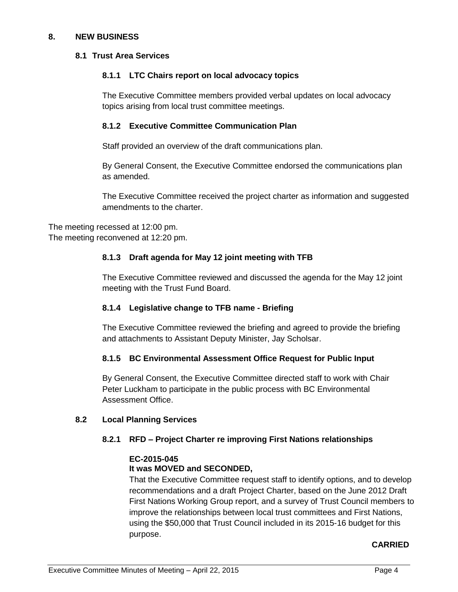### **8. NEW BUSINESS**

#### **8.1 Trust Area Services**

### **8.1.1 LTC Chairs report on local advocacy topics**

The Executive Committee members provided verbal updates on local advocacy topics arising from local trust committee meetings.

### **8.1.2 Executive Committee Communication Plan**

Staff provided an overview of the draft communications plan.

By General Consent, the Executive Committee endorsed the communications plan as amended.

The Executive Committee received the project charter as information and suggested amendments to the charter.

The meeting recessed at 12:00 pm. The meeting reconvened at 12:20 pm.

### **8.1.3 Draft agenda for May 12 joint meeting with TFB**

The Executive Committee reviewed and discussed the agenda for the May 12 joint meeting with the Trust Fund Board.

## **8.1.4 Legislative change to TFB name - Briefing**

The Executive Committee reviewed the briefing and agreed to provide the briefing and attachments to Assistant Deputy Minister, Jay Scholsar.

## **8.1.5 BC Environmental Assessment Office Request for Public Input**

By General Consent, the Executive Committee directed staff to work with Chair Peter Luckham to participate in the public process with BC Environmental Assessment Office.

#### **8.2 Local Planning Services**

## **8.2.1 RFD – Project Charter re improving First Nations relationships**

## **EC-2015-045**

## **It was MOVED and SECONDED,**

That the Executive Committee request staff to identify options, and to develop recommendations and a draft Project Charter, based on the June 2012 Draft First Nations Working Group report, and a survey of Trust Council members to improve the relationships between local trust committees and First Nations, using the \$50,000 that Trust Council included in its 2015-16 budget for this purpose.

## **CARRIED**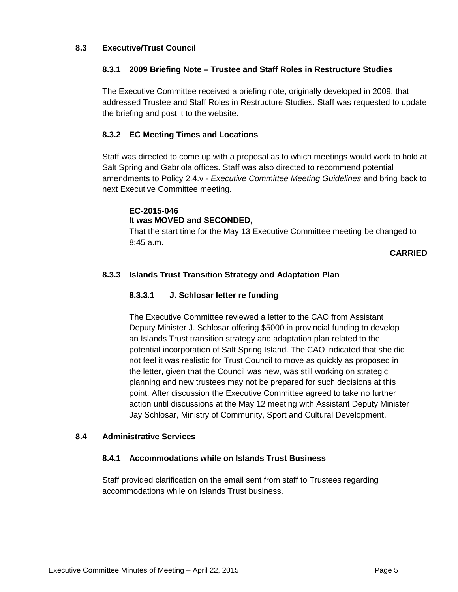### **8.3 Executive/Trust Council**

### **8.3.1 2009 Briefing Note – Trustee and Staff Roles in Restructure Studies**

The Executive Committee received a briefing note, originally developed in 2009, that addressed Trustee and Staff Roles in Restructure Studies. Staff was requested to update the briefing and post it to the website.

## **8.3.2 EC Meeting Times and Locations**

Staff was directed to come up with a proposal as to which meetings would work to hold at Salt Spring and Gabriola offices. Staff was also directed to recommend potential amendments to Policy 2.4.v - *Executive Committee Meeting Guidelines* and bring back to next Executive Committee meeting.

## **EC-2015-046 It was MOVED and SECONDED,**

That the start time for the May 13 Executive Committee meeting be changed to 8:45 a.m.

**CARRIED**

## **8.3.3 Islands Trust Transition Strategy and Adaptation Plan**

#### **8.3.3.1 J. Schlosar letter re funding**

The Executive Committee reviewed a letter to the CAO from Assistant Deputy Minister J. Schlosar offering \$5000 in provincial funding to develop an Islands Trust transition strategy and adaptation plan related to the potential incorporation of Salt Spring Island. The CAO indicated that she did not feel it was realistic for Trust Council to move as quickly as proposed in the letter, given that the Council was new, was still working on strategic planning and new trustees may not be prepared for such decisions at this point. After discussion the Executive Committee agreed to take no further action until discussions at the May 12 meeting with Assistant Deputy Minister Jay Schlosar, Ministry of Community, Sport and Cultural Development.

#### **8.4 Administrative Services**

#### **8.4.1 Accommodations while on Islands Trust Business**

Staff provided clarification on the email sent from staff to Trustees regarding accommodations while on Islands Trust business.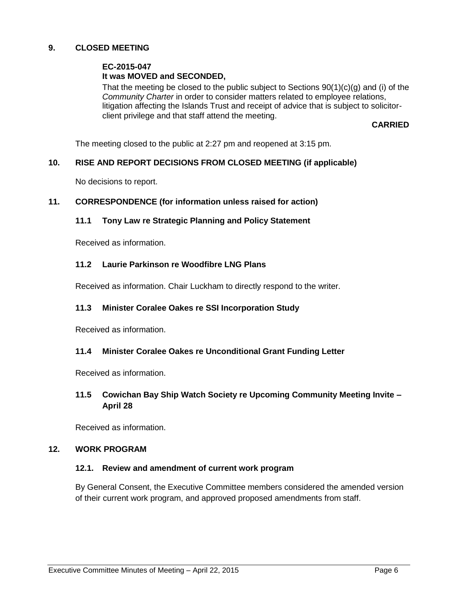### **9. CLOSED MEETING**

#### **EC-2015-047 It was MOVED and SECONDED,**

That the meeting be closed to the public subject to Sections  $90(1)(c)(g)$  and (i) of the *Community Charter* in order to consider matters related to employee relations, litigation affecting the Islands Trust and receipt of advice that is subject to solicitorclient privilege and that staff attend the meeting.

#### **CARRIED**

The meeting closed to the public at 2:27 pm and reopened at 3:15 pm.

#### **10. RISE AND REPORT DECISIONS FROM CLOSED MEETING (if applicable)**

No decisions to report.

#### **11. CORRESPONDENCE (for information unless raised for action)**

#### **11.1 Tony Law re Strategic Planning and Policy Statement**

Received as information.

#### **11.2 Laurie Parkinson re Woodfibre LNG Plans**

Received as information. Chair Luckham to directly respond to the writer.

#### **11.3 Minister Coralee Oakes re SSI Incorporation Study**

Received as information.

#### **11.4 Minister Coralee Oakes re Unconditional Grant Funding Letter**

Received as information.

### **11.5 Cowichan Bay Ship Watch Society re Upcoming Community Meeting Invite – April 28**

Received as information.

### **12. WORK PROGRAM**

#### **12.1. Review and amendment of current work program**

By General Consent, the Executive Committee members considered the amended version of their current work program, and approved proposed amendments from staff.